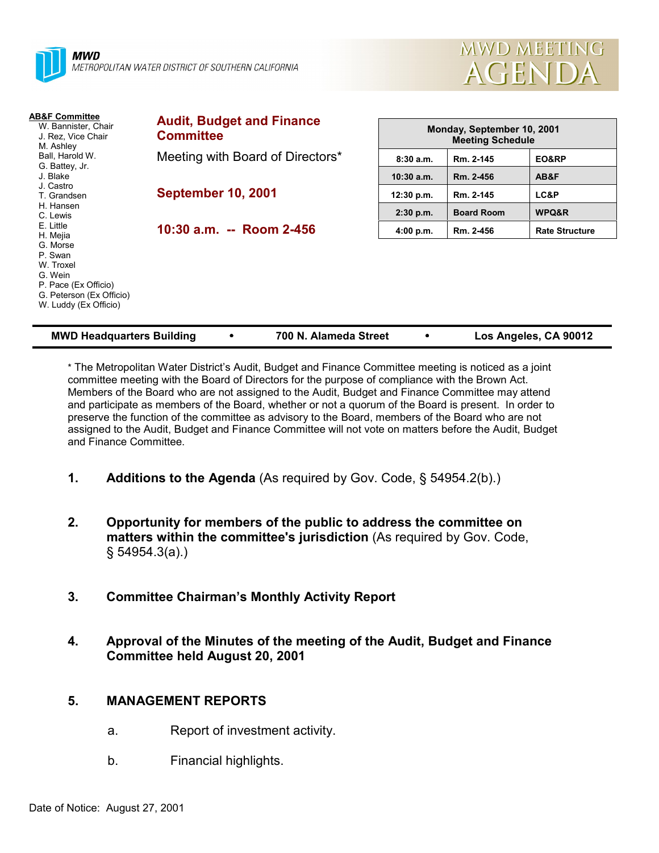



| <b>AB&amp;F Committee</b><br>W. Bannister, Chair<br>J. Rez. Vice Chair<br>M. Ashley                                      | <b>Audit, Budget and Finance</b><br><b>Committee</b> | Monday, September 10, 2001<br><b>Meeting Schedule</b> |                   |                       |  |  |
|--------------------------------------------------------------------------------------------------------------------------|------------------------------------------------------|-------------------------------------------------------|-------------------|-----------------------|--|--|
| Ball, Harold W.<br>G. Battey, Jr.                                                                                        | Meeting with Board of Directors*                     | 8:30a.m.                                              | Rm. 2-145         | EO&RP                 |  |  |
| J. Blake                                                                                                                 |                                                      | $10:30$ a.m.                                          | Rm. 2-456         | AB&F                  |  |  |
| J. Castro<br>T. Grandsen                                                                                                 | <b>September 10, 2001</b>                            | 12:30 p.m.                                            | Rm. 2-145         | LC&P                  |  |  |
| H. Hansen<br>C. Lewis                                                                                                    |                                                      | $2:30$ p.m.                                           | <b>Board Room</b> | WPQ&R                 |  |  |
| E. Little<br>H. Mejia                                                                                                    | 10:30 a.m. -- Room 2-456                             | 4:00 p.m.                                             | Rm. 2-456         | <b>Rate Structure</b> |  |  |
| G. Morse<br>P. Swan<br>W. Troxel<br>G. Wein<br>P. Pace (Ex Officio)<br>G. Peterson (Ex Officio)<br>W. Luddy (Ex Officio) |                                                      |                                                       |                   |                       |  |  |

| <b>MWD Headquarters Building</b> |  | 700 N. Alameda Street |  | Los Angeles, CA 90012 |
|----------------------------------|--|-----------------------|--|-----------------------|
|----------------------------------|--|-----------------------|--|-----------------------|

\* The Metropolitan Water Districtís Audit, Budget and Finance Committee meeting is noticed as a joint committee meeting with the Board of Directors for the purpose of compliance with the Brown Act. Members of the Board who are not assigned to the Audit, Budget and Finance Committee may attend and participate as members of the Board, whether or not a quorum of the Board is present. In order to preserve the function of the committee as advisory to the Board, members of the Board who are not assigned to the Audit, Budget and Finance Committee will not vote on matters before the Audit, Budget and Finance Committee.

- **1.** Additions to the Agenda (As required by Gov. Code, § 54954.2(b).)
- **2. Opportunity for members of the public to address the committee on matters within the committee's jurisdiction** (As required by Gov. Code, ß 54954.3(a).)
- **3. Committee Chairmanís Monthly Activity Report**
- **4. Approval of the Minutes of the meeting of the Audit, Budget and Finance Committee held August 20, 2001**

## **5. MANAGEMENT REPORTS**

- a. Report of investment activity.
- b. Financial highlights.